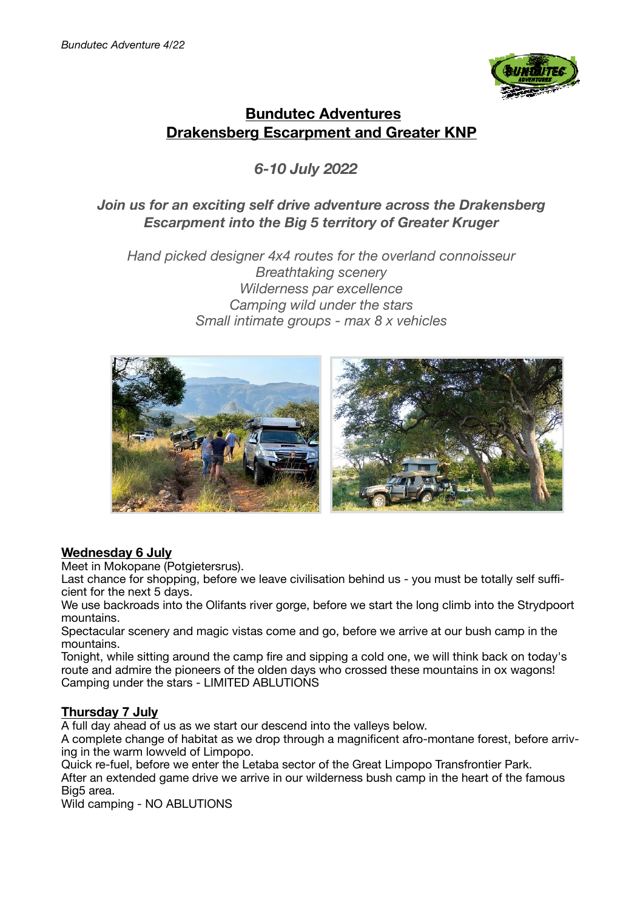

# **Bundutec Adventures Drakensberg Escarpment and Greater KNP**

# *6-10 July 2022*

## *Join us for an exciting self drive adventure across the Drakensberg Escarpment into the Big 5 territory of Greater Kruger*

*Hand picked designer 4x4 routes for the overland connoisseur Breathtaking scenery Wilderness par excellence Camping wild under the stars Small intimate groups - max 8 x vehicles*



### **Wednesday 6 July**

Meet in Mokopane (Potgietersrus).

Last chance for shopping, before we leave civilisation behind us - you must be totally self sufficient for the next 5 days.

We use backroads into the Olifants river gorge, before we start the long climb into the Strydpoort mountains.

Spectacular scenery and magic vistas come and go, before we arrive at our bush camp in the mountains.

Tonight, while sitting around the camp fire and sipping a cold one, we will think back on today's route and admire the pioneers of the olden days who crossed these mountains in ox wagons! Camping under the stars - LIMITED ABLUTIONS

### **Thursday 7 July**

A full day ahead of us as we start our descend into the valleys below.

A complete change of habitat as we drop through a magnificent afro-montane forest, before arriving in the warm lowveld of Limpopo.

Quick re-fuel, before we enter the Letaba sector of the Great Limpopo Transfrontier Park. After an extended game drive we arrive in our wilderness bush camp in the heart of the famous Big<sub>5</sub> area.

Wild camping - NO ABLUTIONS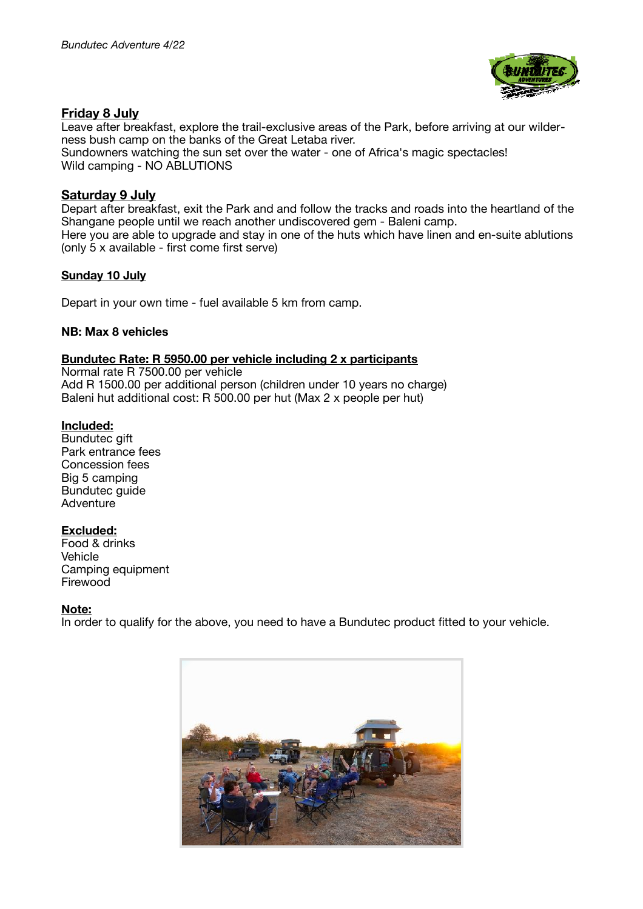

#### **Friday 8 July**

Leave after breakfast, explore the trail-exclusive areas of the Park, before arriving at our wilderness bush camp on the banks of the Great Letaba river. Sundowners watching the sun set over the water - one of Africa's magic spectacles! Wild camping - NO ABLUTIONS

#### **Saturday 9 July**

Depart after breakfast, exit the Park and and follow the tracks and roads into the heartland of the Shangane people until we reach another undiscovered gem - Baleni camp. Here you are able to upgrade and stay in one of the huts which have linen and en-suite ablutions (only 5 x available - first come first serve)

#### **Sunday 10 July**

Depart in your own time - fuel available 5 km from camp.

#### **NB: Max 8 vehicles**

#### **Bundutec Rate: R 5950.00 per vehicle including 2 x participants**

Normal rate R 7500.00 per vehicle Add R 1500.00 per additional person (children under 10 years no charge) Baleni hut additional cost: R 500.00 per hut (Max 2 x people per hut)

#### **Included:**

Bundutec gift Park entrance fees Concession fees Big 5 camping Bundutec quide Adventure

#### **Excluded:**

Food & drinks **Vehicle** Camping equipment Firewood

#### **Note:**

In order to qualify for the above, you need to have a Bundutec product fitted to your vehicle.